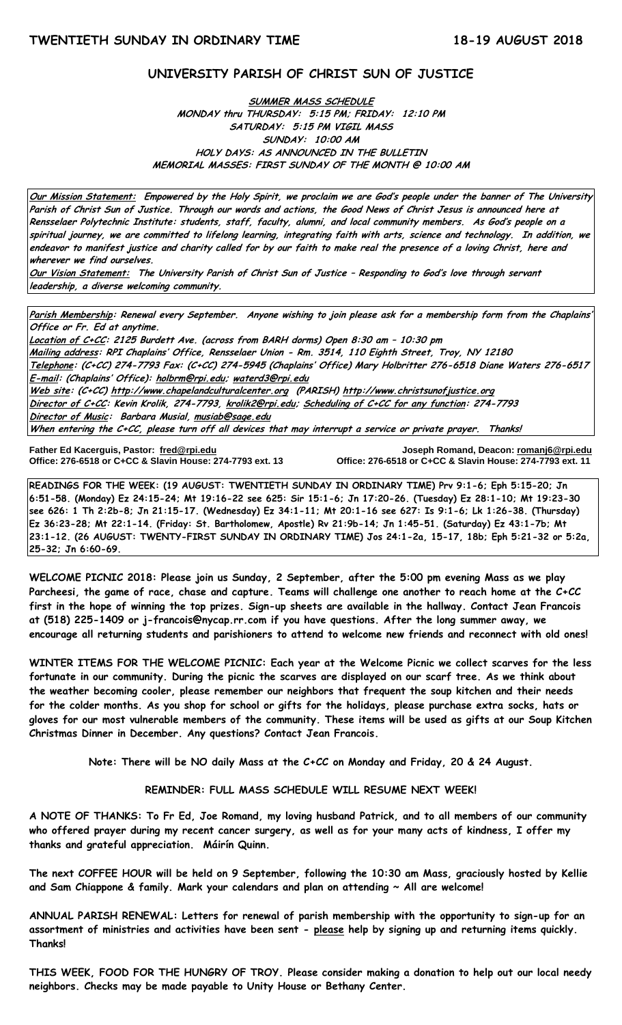# **UNIVERSITY PARISH OF CHRIST SUN OF JUSTICE**

# **SUMMER MASS SCHEDULE MONDAY thru THURSDAY: 5:15 PM; FRIDAY: 12:10 PM SATURDAY: 5:15 PM VIGIL MASS SUNDAY: 10:00 AM HOLY DAYS: AS ANNOUNCED IN THE BULLETIN MEMORIAL MASSES: FIRST SUNDAY OF THE MONTH @ 10:00 AM**

**Our Mission Statement: Empowered by the Holy Spirit, we proclaim we are God's people under the banner of The University Parish of Christ Sun of Justice. Through our words and actions, the Good News of Christ Jesus is announced here at Rensselaer Polytechnic Institute: students, staff, faculty, alumni, and local community members. As God's people on a spiritual journey, we are committed to lifelong learning, integrating faith with arts, science and technology. In addition, we endeavor to manifest justice and charity called for by our faith to make real the presence of a loving Christ, here and wherever we find ourselves.**

**Our Vision Statement: The University Parish of Christ Sun of Justice – Responding to God's love through servant leadership, a diverse welcoming community.**

**Parish Membership: Renewal every September. Anyone wishing to join please ask for a membership form from the Chaplains' Office or Fr. Ed at anytime.**

**Location of C+CC: 2125 Burdett Ave. (across from BARH dorms) Open 8:30 am – 10:30 pm Mailing address: RPI Chaplains' Office, Rensselaer Union - Rm. 3514, 110 Eighth Street, Troy, NY 12180 Telephone: (C+CC) 274-7793 Fax: (C+CC) 274-5945 (Chaplains' Office) Mary Holbritter 276-6518 Diane Waters 276-6517 E-mail: (Chaplains' Office): [holbrm@rpi.edu;](mailto:holbrm@rpi.edu) waterd3@rpi.edu Web site: (C+CC[\) http://www.chapelandculturalcenter.org](http://www.chapelandculturalcenter.org/) (PARISH) http://www.christsunofjustice.org Director of C+CC: Kevin Krolik, 274-7793, krolik2@rpi.edu; Scheduling of C+CC for any function: 274-7793 Director of Music: Barbara Musial, [musiab@sage.edu](mailto:musiab@sage.edu) When entering the C+CC, please turn off all devices that may interrupt a service or private prayer. Thanks!** 

**Father Ed Kacerguis, Pastor: [fred@rpi.edu](mailto:fred@rpi.edu) Joseph Romand, Deacon[: romanj6@rpi.edu](mailto:romanj6@rpi.edu) Office: 276-6518 or C+CC & Slavin House: 274-7793 ext. 13 Office: 276-6518 or C+CC & Slavin House: 274-7793 ext. 11**

**READINGS FOR THE WEEK: (19 AUGUST: TWENTIETH SUNDAY IN ORDINARY TIME) Prv 9:1-6; Eph 5:15-20; Jn 6:51-58. (Monday) Ez 24:15-24; Mt 19:16-22 see 625: Sir 15:1-6; Jn 17:20-26. (Tuesday) Ez 28:1-10; Mt 19:23-30 see 626: 1 Th 2:2b-8; Jn 21:15-17. (Wednesday) Ez 34:1-11; Mt 20:1-16 see 627: Is 9:1-6; Lk 1:26-38. (Thursday) Ez 36:23-28; Mt 22:1-14. (Friday: St. Bartholomew, Apostle) Rv 21:9b-14; Jn 1:45-51. (Saturday) Ez 43:1-7b; Mt 23:1-12. (26 AUGUST: TWENTY-FIRST SUNDAY IN ORDINARY TIME) Jos 24:1-2a, 15-17, 18b; Eph 5:21-32 or 5:2a, 25-32; Jn 6:60-69.**

**WELCOME PICNIC 2018: Please join us Sunday, 2 September, after the 5:00 pm evening Mass as we play Parcheesi, the game of race, chase and capture. Teams will challenge one another to reach home at the C+CC first in the hope of winning the top prizes. Sign-up sheets are available in the hallway. Contact Jean Francois at (518) 225-1409 or j-francois@nycap.rr.com if you have questions. After the long summer away, we encourage all returning students and parishioners to attend to welcome new friends and reconnect with old ones!**

**WINTER ITEMS FOR THE WELCOME PICNIC: Each year at the Welcome Picnic we collect scarves for the less fortunate in our community. During the picnic the scarves are displayed on our scarf tree. As we think about the weather becoming cooler, please remember our neighbors that frequent the soup kitchen and their needs for the colder months. As you shop for school or gifts for the holidays, please purchase extra socks, hats or gloves for our most vulnerable members of the community. These items will be used as gifts at our Soup Kitchen Christmas Dinner in December. Any questions? Contact Jean Francois.**

**Note: There will be NO daily Mass at the C+CC on Monday and Friday, 20 & 24 August.**

#### **REMINDER: FULL MASS SCHEDULE WILL RESUME NEXT WEEK!**

**A NOTE OF THANKS: To Fr Ed, Joe Romand, my loving husband Patrick, and to all members of our community who offered prayer during my recent cancer surgery, as well as for your many acts of kindness, I offer my thanks and grateful appreciation. Máirín Quinn.**

**The next COFFEE HOUR will be held on 9 September, following the 10:30 am Mass, graciously hosted by Kellie and Sam Chiappone & family. Mark your calendars and plan on attending ~ All are welcome!** 

**ANNUAL PARISH RENEWAL: Letters for renewal of parish membership with the opportunity to sign-up for an assortment of ministries and activities have been sent - please help by signing up and returning items quickly. Thanks!**

**THIS WEEK, FOOD FOR THE HUNGRY OF TROY. Please consider making a donation to help out our local needy neighbors. Checks may be made payable to Unity House or Bethany Center.**